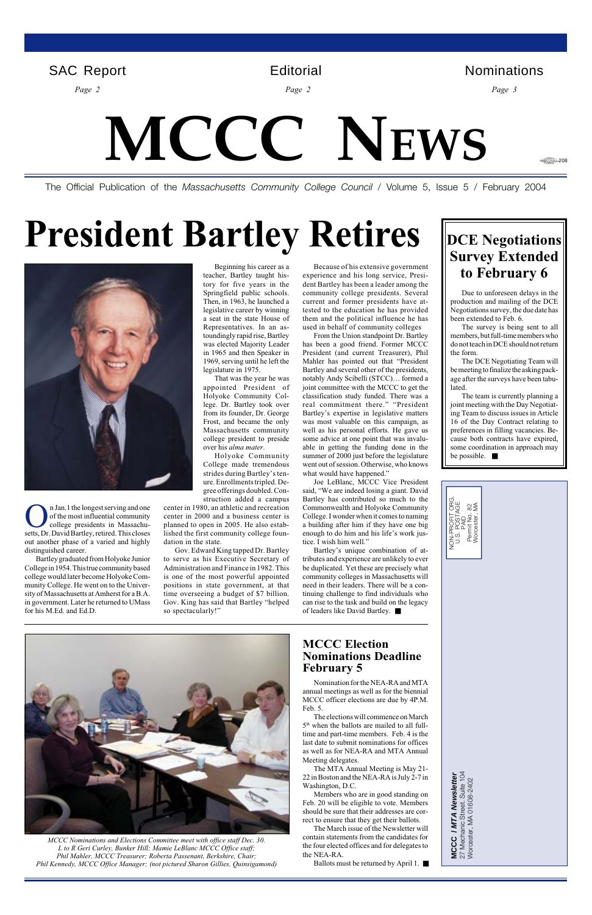# **MCCC NEWS**

<del>4. 20</del>8

The Official Publication of the *Massachusetts Community College Council* / Volume 5, Issue 5 / February 2004

MCCC / MTA Newsletter<br>27 Mechanic Street. Suite 104<br>Worcester, MA 01608-2402 27 Mechanic Street. Suite 104 **MCCC / MTA Newsletter** Worcester, MA 01608-2402

| IOFIT ORG.<br>OSTAGE<br>⊗≨<br>Worcester,<br>O<br>PAID<br>NON-PRC<br>U.S. PC<br>Permit |  |
|---------------------------------------------------------------------------------------|--|
|                                                                                       |  |



n Jan.1 the longest serving and one of the most influential community college presidents in Massachusetts, Dr. David Bartley, retired. This closes out another phase of a varied and highly distinguished career.

*Page 2 Page 2 Page 3*

Bartley graduated from Holyoke Junior College in 1954. This true community based college would later become Holyoke Community College. He went on to the University of Massachusetts at Amherst for a B.A. in government. Later he returned to UMass for his M.Ed. and Ed.D.

## **President Bartley Retires**



Beginning his career as a teacher, Bartley taught history for five years in the Springfield public schools. Then, in 1963, he launched a legislative career by winning a seat in the state House of Representatives. In an astoundingly rapid rise, Bartley was elected Majority Leader in 1965 and then Speaker in 1969, serving until he left the legislature in 1975.

That was the year he was appointed President of Holyoke Community College. Dr. Bartley took over from its founder, Dr. George Frost, and became the only Massachusetts community college president to preside over his *alma mater*.

Holyoke Community College made tremendous strides during Bartley's tenure. Enrollments tripled. Degree offerings doubled. Construction added a campus

center in 1980, an athletic and recreation center in 2000 and a business center is planned to open in 2005. He also established the first community college foundation in the state.

Gov. Edward King tapped Dr. Bartley to serve as his Executive Secretary of Administration and Finance in 1982. This is one of the most powerful appointed positions in state government, at that time overseeing a budget of \$7 billion. Gov. King has said that Bartley "helped so spectacularly!"

#### **MCCC Election Nominations Deadline February 5**

Nomination for the NEA-RA and MTA annual meetings as well as for the biennial MCCC officer elections are due by 4P.M. Feb. 5.

The elections will commence on March 5th when the ballots are mailed to all fulltime and part-time members. Feb. 4 is the last date to submit nominations for offices as well as for NEA-RA and MTA Annual Meeting delegates.

The MTA Annual Meeting is May 21- 22 in Boston and the NEA-RA is July 2-7 in Washington, D.C.

Members who are in good standing on Feb. 20 will be eligible to vote. Members should be sure that their addresses are correct to ensure that they get their ballots.

The March issue of the Newsletter will contain statements from the candidates for the four elected offices and for delegates to the NEA-RA.

Ballots must be returned by April 1. ■

Because of his extensive government experience and his long service, President Bartley has been a leader among the community college presidents. Several current and former presidents have attested to the education he has provided them and the political influence he has used in behalf of community colleges

From the Union standpoint Dr. Bartley has been a good friend. Former MCCC President (and current Treasurer), Phil Mahler has pointed out that "President Bartley and several other of the presidents, notably Andy Scibelli (STCC)… formed a joint committee with the MCCC to get the classification study funded. There was a real commitment there." "President Bartley's expertise in legislative matters was most valuable on this campaign, as well as his personal efforts. He gave us some advice at one point that was invaluable in getting the funding done in the summer of 2000 just before the legislature went out of session. Otherwise, who knows what would have happened."

Joe LeBlanc, MCCC Vice President said, "We are indeed losing a giant. David Bartley has contributed so much to the Commonwealth and Holyoke Community College. I wonder when it comes to naming a building after him if they have one big enough to do him and his life's work justice. I wish him well."

Bartley's unique combination of attributes and experience are unlikely to ever be duplicated. Yet these are precisely what community colleges in Massachusetts will need in their leaders. There will be a continuing challenge to find individuals who can rise to the task and build on the legacy of leaders like David Bartley. ■

*MCCC Nominations and Elections Committee meet with office staff Dec. 30. L to R Geri Curley, Bunker Hill; Mamie LeBlanc MCCC Office staff; Phil Mahler, MCCC Treasurer; Roberta Passenant, Berkshire, Chair; Phil Kennedy, MCCC Office Manager; (not pictured Sharon Gillies, Quinsigamond)*

Due to unforeseen delays in the production and mailing of the DCE Negotiations survey, the due date has been extended to Feb. 6.

The survey is being sent to all members, but full-time members who do not teach in DCE should not return the form.

The DCE Negotiating Team will be meeting to finalize the asking package after the surveys have been tabulated.

The team is currently planning a joint meeting with the Day Negotiating Team to discuss issues in Article 16 of the Day Contract relating to preferences in filling vacancies. Because both contracts have expired, some coordination in approach may be possible. ■

## **DCE Negotiations Survey Extended to February 6**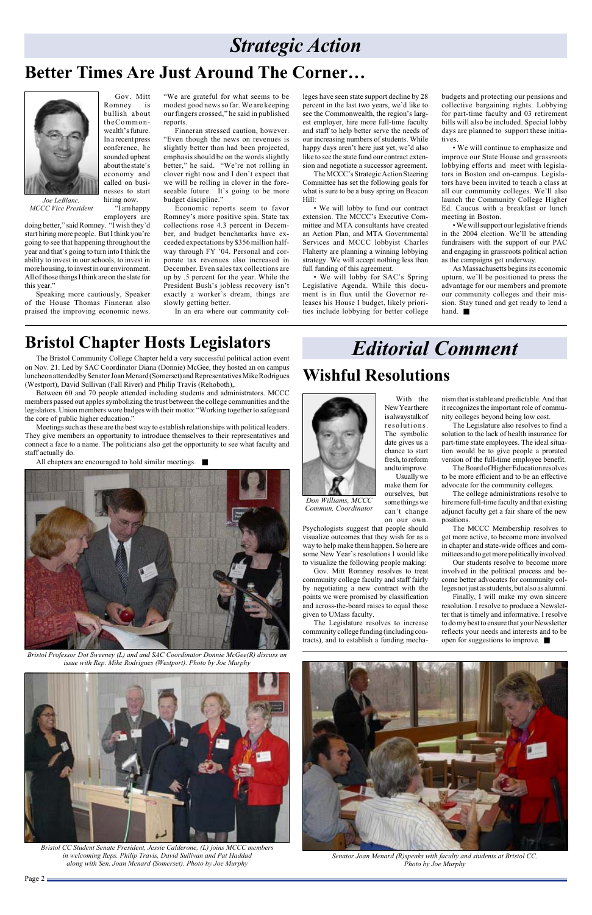## *Strategic Action*

## **Better Times Are Just Around The Corner…**

*Joe LeBlanc, MCCC Vice President* Gov. Mitt



Romney is bullish about theCommonwealth's future. In a recent press conference, he sounded upbeat about the state's economy and called on businesses to start hiring now.

"I am happy

employers are doing better," said Romney. "I wish they'd start hiring more people. But I think you're going to see that happening throughout the year and that's going to turn into I think the ability to invest in our schools, to invest in more housing, to invest in our environment. All of those things I think are on the slate for this year."

Speaking more cautiously, Speaker of the House Thomas Finneran also praised the improving economic news.

"We are grateful for what seems to be modest good news so far. We are keeping our fingers crossed," he said in published reports.

Finneran stressed caution, however. "Even though the news on revenues is slightly better than had been projected, emphasis should be on the words slightly better," he said. "We're not rolling in clover right now and I don't expect that we will be rolling in clover in the foreseeable future. It's going to be more budget discipline."

Economic reports seem to favor Romney's more positive spin. State tax collections rose 4.3 percent in December, and budget benchmarks have exceeded expectations by \$356 million halfway through FY '04. Personal and corporate tax revenues also increased in December. Even sales tax collections are up by .5 percent for the year. While the President Bush's jobless recovery isn't exactly a worker's dream, things are slowly getting better.

In an era where our community col-

leges have seen state support decline by 28 percent in the last two years, we'd like to see the Commonwealth, the region's largest employer, hire more full-time faculty and staff to help better serve the needs of our increasing numbers of students. While happy days aren't here just yet, we'd also like to see the state fund our contract extension and negotiate a successor agreement.

The MCCC's Strategic Action Steering Committee has set the following goals for what is sure to be a busy spring on Beacon Hill:

• We will lobby to fund our contract extension. The MCCC's Executive Committee and MTA consultants have created an Action Plan, and MTA Governmental Services and MCCC lobbyist Charles Flaherty are planning a winning lobbying strategy. We will accept nothing less than full funding of this agreement.

• We will lobby for SAC's Spring Legislative Agenda. While this document is in flux until the Governor releases his House I budget, likely priorities include lobbying for better college budgets and protecting our pensions and collective bargaining rights. Lobbying for part-time faculty and 03 retirement bills will also be included. Special lobby days are planned to support these initiatives.

• We will continue to emphasize and improve our State House and grassroots lobbying efforts and meet with legislators in Boston and on-campus. Legislators have been invited to teach a class at all our community colleges. We'll also launch the Community College Higher Ed. Caucus with a breakfast or lunch meeting in Boston.

• We will support our legislative friends in the 2004 election. We'll be attending fundraisers with the support of our PAC and engaging in grassroots political action as the campaigns get underway.

As Massachusetts begins its economic upturn, we'll be positioned to press the advantage for our members and promote our community colleges and their mission. Stay tuned and get ready to lend a hand. ■

## **Bristol Chapter Hosts Legislators**

The Bristol Community College Chapter held a very successful political action event on Nov. 21. Led by SAC Coordinator Diana (Donnie) McGee, they hosted an on campus luncheon attended by Senator Joan Menard (Somerset) and Representatives Mike Rodrigues (Westport), David Sullivan (Fall River) and Philip Travis (Rehoboth),.

Between 60 and 70 people attended including students and administrators. MCCC members passed out apples symbolizing the trust between the college communities and the legislators. Union members wore badges with their motto: "Working together to safeguard the core of public higher education."

Meetings such as these are the best way to establish relationships with political leaders. They give members an opportunity to introduce themselves to their representatives and connect a face to a name. The politicians also get the opportunity to see what faculty and staff actually do.

All chapters are encouraged to hold similar meetings. ■



*Bristol CC Student Senate President, Jessie Calderone, (L) joins MCCC members in welcoming Reps. Philip Travis, David Sullivan and Pat Haddad along with Sen. Joan Menard (Somerset). Photo by Joe Murphy*



*Bristol Professor Dot Sweeney (L) and and SAC Coordinator Donnie McGee(R) discuss an issue with Rep. Mike Rodrigues (Westport). Photo by Joe Murphy*



*Senator Joan Menard (R)speaks with faculty and students at Bristol CC. Photo by Joe Murphy*

Page  $2 \equiv$ 

With the New Year there is always talk of resolutions. The symbolic date gives us a chance to start fresh, to reform and to improve. Usually we make them for

ourselves, but some things we can't change

visualize outcomes that they wish for as a way to help make them happen. So here are some New Year's resolutions I would like to visualize the following people making:

Gov. Mitt Romney resolves to treat community college faculty and staff fairly by negotiating a new contract with the points we were promised by classification and across-the-board raises to equal those given to UMass faculty.

The Legislature resolves to increase community college funding (including contracts), and to establish a funding mecha-

## **Wishful Resolutions**

## *Editorial Comment*

nism that is stable and predictable. And that it recognizes the important role of community colleges beyond being low cost.

The Legislature also resolves to find a solution to the lack of health insurance for part-time state employees. The ideal situation would be to give people a prorated version of the full-time employee benefit.

on our own. Psychologists suggest that people should *Commun. Coordinator*

The Board of Higher Education resolves to be more efficient and to be an effective advocate for the community colleges.

The college administrations resolve to hire more full-time faculty and that existing adjunct faculty get a fair share of the new positions.

The MCCC Membership resolves to get more active, to become more involved in chapter and state-wide offices and committees and to get more politically involved.

Our students resolve to become more involved in the political process and become better advocates for community colleges not just as students, but also as alumni.

Finally, I will make my own sincere resolution. I resolve to produce a Newsletter that is timely and informative. I resolve to do my best to ensure that your Newsletter reflects your needs and interests and to be open for suggestions to improve. ■

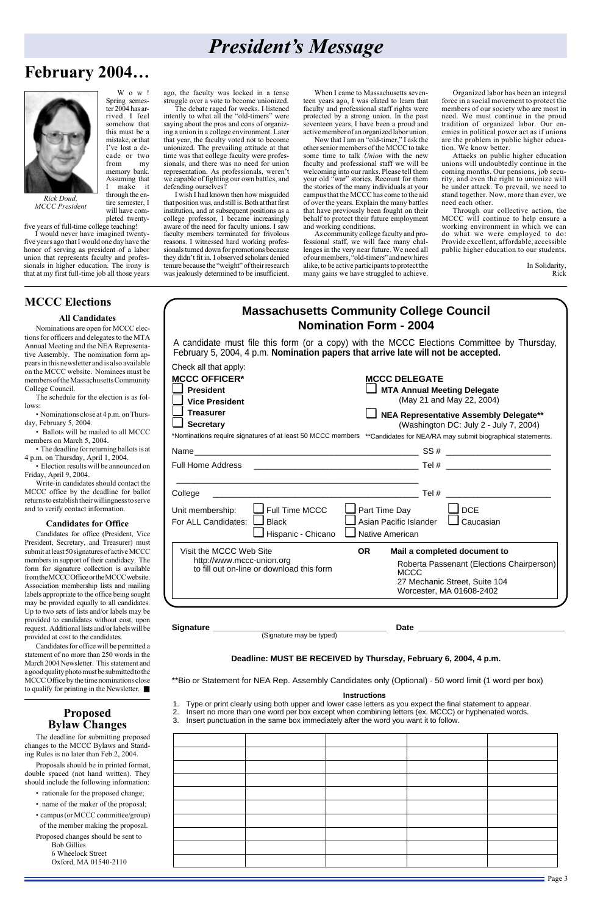### **Massachusetts Community College Council Nomination Form - 2004**

A candidate must file this form (or a copy) with the MCCC Elections Committee by Thursday, February 5, 2004, 4 p.m. **Nomination papers that arrive late will not be accepted.**

#### **Instructions**

- 1. Type or print clearly using both upper and lower case letters as you expect the final statement to appear.
- 2. Insert no more than one word per box except when combining letters (ex. MCCC) or hyphenated words.
- 3. Insert punctuation in the same box immediately after the word you want it to follow.

| and the control of the control of |  |  |
|-----------------------------------|--|--|
|                                   |  |  |
|                                   |  |  |
|                                   |  |  |
|                                   |  |  |
|                                   |  |  |
|                                   |  |  |
|                                   |  |  |
|                                   |  |  |

**Deadline: MUST BE RECEIVED by Thursday, February 6, 2004, 4 p.m.**

\*\*Bio or Statement for NEA Rep. Assembly Candidates only (Optional) - 50 word limit (1 word per box)

**Signature \_\_\_\_\_\_\_\_\_\_\_\_\_\_\_\_\_\_\_\_\_\_\_\_\_\_\_\_\_\_\_\_\_\_\_\_\_\_ Date \_\_\_\_\_\_\_\_\_\_\_\_\_\_\_\_\_\_\_\_\_\_\_\_\_\_\_\_\_\_\_\_** (Signature may be typed)

| Check all that apply:<br><b>MCCC OFFICER*</b><br><b>President</b><br><b>Vice President</b><br><b>Treasurer</b><br><b>Secretary</b><br>*Nominations require signatures of at least 50 MCCC members **Candidates for NEA/RA may submit biographical statements. | <b>MCCC DELEGATE</b><br><b>MTA Annual Meeting Delegate</b><br>(May 21 and May 22, 2004)<br><b>NEA Representative Assembly Delegate**</b><br>(Washington DC: July 2 - July 7, 2004) |
|---------------------------------------------------------------------------------------------------------------------------------------------------------------------------------------------------------------------------------------------------------------|------------------------------------------------------------------------------------------------------------------------------------------------------------------------------------|
|                                                                                                                                                                                                                                                               |                                                                                                                                                                                    |
| <b>Full Home Address</b>                                                                                                                                                                                                                                      |                                                                                                                                                                                    |
| College                                                                                                                                                                                                                                                       | $\mathsf{Tel}~\#$                                                                                                                                                                  |
| $\blacksquare$ Full Time MCCC<br>Unit membership:<br>For ALL Candidates:<br>$\Box$ Black                                                                                                                                                                      | $\Box$ Part Time Day<br>$\sqcup$ DCE<br>$\Box$ Caucasian<br>Asian Pacific Islander                                                                                                 |
| Hispanic - Chicano<br>Visit the MCCC Web Site<br><b>OR</b><br>http://www.mccc-union.org<br>to fill out on-line or download this form                                                                                                                          | Native American<br>Mail a completed document to<br>Roberta Passenant (Elections Chairperson)<br><b>MCCC</b><br>27 Mechanic Street, Suite 104<br>Worcester, MA 01608-2402           |

When I came to Massachusetts seventeen years ago, I was elated to learn that faculty and professional staff rights were protected by a strong union. In the past seventeen years, I have been a proud and active member of an organized labor union.



*Rick Doud, MCCC President*

## **February 2004…**

## *President's Message*

Wow!

Spring semester 2004 has arrived. I feel somehow that this must be a mistake, or that I've lost a decade or two from my memory bank. Assuming that I make it through the en-

Now that I am an "old-timer," I ask the other senior members of the MCCC to take some time to talk *Union* with the new faculty and professional staff we will be welcoming into our ranks. Please tell them your old "war" stories. Recount for them the stories of the many individuals at your campus that the MCCC has come to the aid of over the years. Explain the many battles that have previously been fought on their behalf to protect their future employment and working conditions.

tire semester, I will have completed twenty-

five years of full-time college teaching!

I would never have imagined twentyfive years ago that I would one day have the honor of serving as president of a labor union that represents faculty and professionals in higher education. The irony is that at my first full-time job all those years ago, the faculty was locked in a tense struggle over a vote to become unionized.

The debate raged for weeks. I listened intently to what all the "old-timers" were saying about the pros and cons of organizing a union in a college environment. Later that year, the faculty voted not to become unionized. The prevailing attitude at that time was that college faculty were professionals, and there was no need for union representation. As professionals, weren't we capable of fighting our own battles, and defending ourselves?

I wish I had known then how misguided that position was, and still is. Both at that first institution, and at subsequent positions as a college professor, I became increasingly aware of the need for faculty unions. I saw faculty members terminated for frivolous reasons. I witnessed hard working professionals turned down for promotions because they didn't fit in. I observed scholars denied tenure because the "weight" of their research was jealously determined to be insufficient.

- rationale for the proposed change;
- name of the maker of the proposal;
- campus (or MCCC committee/group) of the member making the proposal.

As community college faculty and professional staff, we will face many challenges in the very near future. We need all of our members, "old-timers" and new hires alike, to be active participants to protect the many gains we have struggled to achieve.

Organized labor has been an integral force in a social movement to protect the members of our society who are most in need. We must continue in the proud tradition of organized labor. Our enemies in political power act as if unions are the problem in public higher education. We know better.

Attacks on public higher education unions will undoubtedly continue in the coming months. Our pensions, job security, and even the right to unionize will be under attack. To prevail, we need to stand together. Now, more than ever, we need each other.

Through our collective action, the MCCC will continue to help ensure a working environment in which we can do what we were employed to do: Provide excellent, affordable, accessible public higher education to our students.

> In Solidarity, Rick

#### **MCCC Elections**

#### **All Candidates**

Nominations are open for MCCC elections for officers and delegates to the MTA Annual Meeting and the NEA Representative Assembly. The nomination form appears in this newsletter and is also available on the MCCC website. Nominees must be members of the Massachusetts Community College Council.

The schedule for the election is as follows:

• Nominations close at 4 p.m. on Thursday, February 5, 2004.

• Ballots will be mailed to all MCCC members on March 5, 2004.

• The deadline for returning ballots is at 4 p.m. on Thursday, April 1, 2004.

• Election results will be announced on Friday, April 9, 2004.

Write-in candidates should contact the MCCC office by the deadline for ballot returns to establish their willingness to serve and to verify contact information.

#### **Candidates for Office**

Candidates for office (President, Vice President, Secretary, and Treasurer) must submit at least 50 signatures of active MCCC members in support of their candidacy. The form for signature collection is available from the MCCC Office or the MCCC website. Association membership lists and mailing labels appropriate to the office being sought may be provided equally to all candidates. Up to two sets of lists and/or labels may be provided to candidates without cost, upon request. Additional lists and/or labels will be provided at cost to the candidates.

Candidates for office will be permitted a statement of no more than 250 words in the March 2004 Newsletter. This statement and a good quality photo must be submitted to the MCCC Office by the time nominations close to qualify for printing in the Newsletter. ■

#### **Proposed Bylaw Changes**

The deadline for submitting proposed changes to the MCCC Bylaws and Standing Rules is no later than Feb.2, 2004.

Proposals should be in printed format, double spaced (not hand written). They should include the following information:

Proposed changes should be sent to Bob Gillies 6 Wheelock Street Oxford, MA 01540-2110